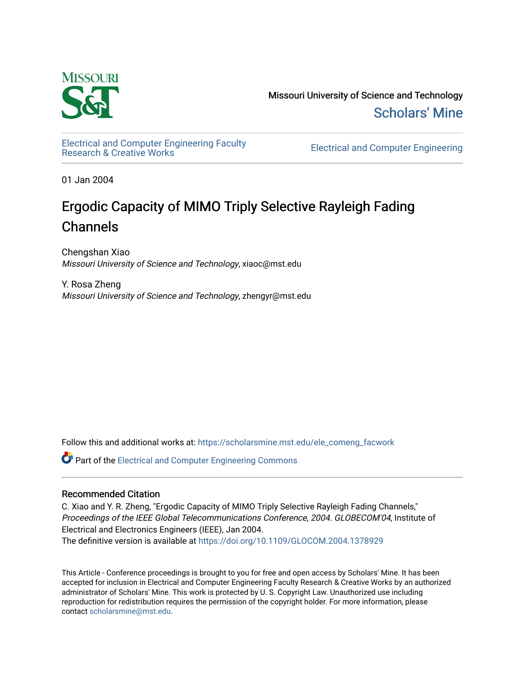

Missouri University of Science and Technology [Scholars' Mine](https://scholarsmine.mst.edu/) 

[Electrical and Computer Engineering Faculty](https://scholarsmine.mst.edu/ele_comeng_facwork)

**Electrical and Computer Engineering** 

01 Jan 2004

## Ergodic Capacity of MIMO Triply Selective Rayleigh Fading Channels

Chengshan Xiao Missouri University of Science and Technology, xiaoc@mst.edu

Y. Rosa Zheng Missouri University of Science and Technology, zhengyr@mst.edu

Follow this and additional works at: [https://scholarsmine.mst.edu/ele\\_comeng\\_facwork](https://scholarsmine.mst.edu/ele_comeng_facwork?utm_source=scholarsmine.mst.edu%2Fele_comeng_facwork%2F1019&utm_medium=PDF&utm_campaign=PDFCoverPages)

**C** Part of the Electrical and Computer Engineering Commons

### Recommended Citation

C. Xiao and Y. R. Zheng, "Ergodic Capacity of MIMO Triply Selective Rayleigh Fading Channels," Proceedings of the IEEE Global Telecommunications Conference, 2004. GLOBECOM'04, Institute of Electrical and Electronics Engineers (IEEE), Jan 2004.

The definitive version is available at <https://doi.org/10.1109/GLOCOM.2004.1378929>

This Article - Conference proceedings is brought to you for free and open access by Scholars' Mine. It has been accepted for inclusion in Electrical and Computer Engineering Faculty Research & Creative Works by an authorized administrator of Scholars' Mine. This work is protected by U. S. Copyright Law. Unauthorized use including reproduction for redistribution requires the permission of the copyright holder. For more information, please contact [scholarsmine@mst.edu](mailto:scholarsmine@mst.edu).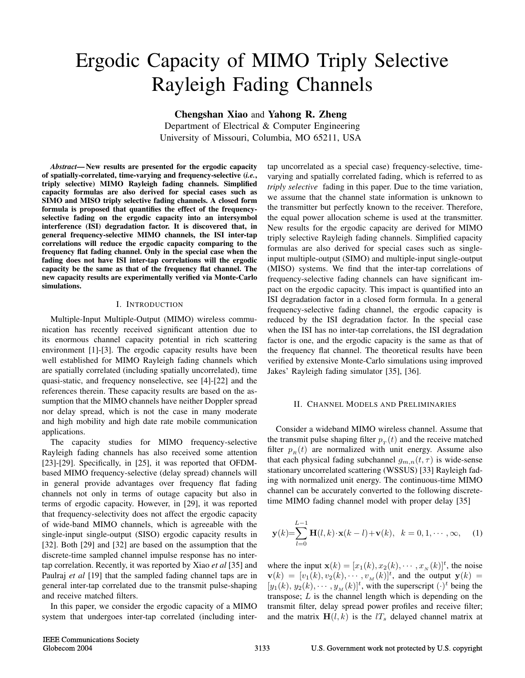# Ergodic Capacity of MIMO Triply Selective Rayleigh Fading Channels

**Chengshan Xiao** and **Yahong R. Zheng**

Department of Electrical & Computer Engineering University of Missouri, Columbia, MO 65211, USA

*Abstract***— New results are presented for the ergodic capacity of spatially-correlated, time-varying and frequency-selective (***i.e.***, triply selective) MIMO Rayleigh fading channels. Simplified capacity formulas are also derived for special cases such as SIMO and MISO triply selective fading channels. A closed form formula is proposed that quantifies the effect of the frequencyselective fading on the ergodic capacity into an intersymbol interference (ISI) degradation factor. It is discovered that, in general frequency-selective MIMO channels, the ISI inter-tap correlations will reduce the ergodic capacity comparing to the frequency flat fading channel. Only in the special case when the fading does not have ISI inter-tap correlations will the ergodic capacity be the same as that of the frequency flat channel. The new capacity results are experimentally verified via Monte-Carlo simulations.**

#### I. INTRODUCTION

Multiple-Input Multiple-Output (MIMO) wireless communication has recently received significant attention due to its enormous channel capacity potential in rich scattering environment [1]-[3]. The ergodic capacity results have been well established for MIMO Rayleigh fading channels which are spatially correlated (including spatially uncorrelated), time quasi-static, and frequency nonselective, see [4]-[22] and the references therein. These capacity results are based on the assumption that the MIMO channels have neither Doppler spread nor delay spread, which is not the case in many moderate and high mobility and high date rate mobile communication applications.

The capacity studies for MIMO frequency-selective Rayleigh fading channels has also received some attention [23]-[29]. Specifically, in [25], it was reported that OFDMbased MIMO frequency-selective (delay spread) channels will in general provide advantages over frequency flat fading channels not only in terms of outage capacity but also in terms of ergodic capacity. However, in [29], it was reported that frequency-selectivity does not affect the ergodic capacity of wide-band MIMO channels, which is agreeable with the single-input single-output (SISO) ergodic capacity results in [32]. Both [29] and [32] are based on the assumption that the discrete-time sampled channel impulse response has no intertap correlation. Recently, it was reported by Xiao *et al* [35] and Paulraj *et al* [19] that the sampled fading channel taps are in general inter-tap correlated due to the transmit pulse-shaping and receive matched filters.

In this paper, we consider the ergodic capacity of a MIMO system that undergoes inter-tap correlated (including intertap uncorrelated as a special case) frequency-selective, timevarying and spatially correlated fading, which is referred to as *triply selective* fading in this paper. Due to the time variation, we assume that the channel state information is unknown to the transmitter but perfectly known to the receiver. Therefore, the equal power allocation scheme is used at the transmitter. New results for the ergodic capacity are derived for MIMO triply selective Rayleigh fading channels. Simplified capacity formulas are also derived for special cases such as singleinput multiple-output (SIMO) and multiple-input single-output (MISO) systems. We find that the inter-tap correlations of frequency-selective fading channels can have significant impact on the ergodic capacity. This impact is quantified into an ISI degradation factor in a closed form formula. In a general frequency-selective fading channel, the ergodic capacity is reduced by the ISI degradation factor. In the special case when the ISI has no inter-tap correlations, the ISI degradation factor is one, and the ergodic capacity is the same as that of the frequency flat channel. The theoretical results have been verified by extensive Monte-Carlo simulations using improved Jakes' Rayleigh fading simulator [35], [36].

#### II. CHANNEL MODELS AND PRELIMINARIES

Consider a wideband MIMO wireless channel. Assume that the transmit pulse shaping filter  $p_T(t)$  and the receive matched filter  $p_R(t)$  are normalized with unit energy. Assume also that each physical fading subchannel  $g_{m,n}(t, \tau)$  is wide-sense stationary uncorrelated scattering (WSSUS) [33] Rayleigh fading with normalized unit energy. The continuous-time MIMO channel can be accurately converted to the following discretetime MIMO fading channel model with proper delay [35]

$$
\mathbf{y}(k) = \sum_{l=0}^{L-1} \mathbf{H}(l,k) \cdot \mathbf{x}(k-l) + \mathbf{v}(k), \quad k = 0, 1, \cdots, \infty,
$$
 (1)

where the input  $\mathbf{x}(k) = [x_1(k), x_2(k), \cdots, x_N(k)]^t$ , the noise  $\mathbf{v}(k) = [v_1(k), v_2(k), \cdots, v_M(k)]^t$ , and the output  $\mathbf{y}(k) =$  $[y_1(k), y_2(k), \cdots, y_M(k)]^t$ , with the superscript  $(\cdot)^t$  being the transpose;  $L$  is the channel length which is depending on the transmit filter, delay spread power profiles and receive filter; and the matrix  $H(l, k)$  is the  $lT<sub>s</sub>$  delayed channel matrix at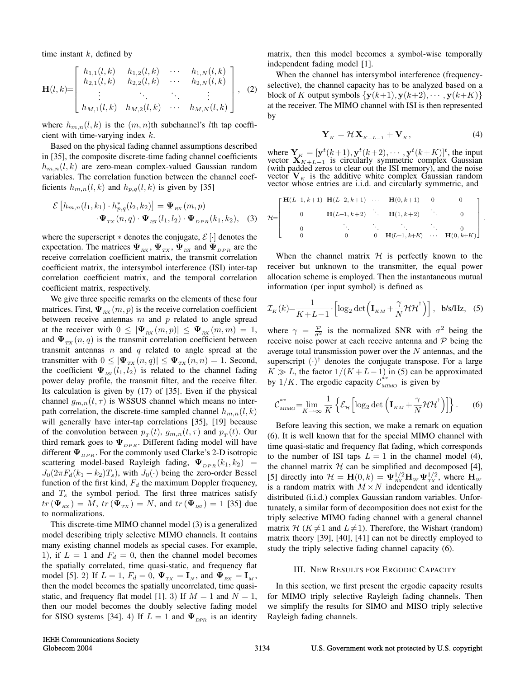time instant  $k$ , defined by

$$
\mathbf{H}(l,k) = \begin{bmatrix} h_{1,1}(l,k) & h_{1,2}(l,k) & \cdots & h_{1,N}(l,k) \\ h_{2,1}(l,k) & h_{2,2}(l,k) & \cdots & h_{2,N}(l,k) \\ \vdots & \ddots & \ddots & \vdots \\ h_{M,1}(l,k) & h_{M,2}(l,k) & \cdots & h_{M,N}(l,k) \end{bmatrix}, (2)
$$

where  $h_{m,n}(l,k)$  is the  $(m,n)$ th subchannel's *l*th tap coefficient with time-varying index  $k$ .

Based on the physical fading channel assumptions described in [35], the composite discrete-time fading channel coefficients  $h_{m,n}(l,k)$  are zero-mean complex-valued Gaussian random variables. The correlation function between the channel coefficients  $h_{m,n}(l, k)$  and  $h_{p,q}(l, k)$  is given by [35]

$$
\mathcal{E}\left[h_{m,n}(l_1,k_1)\cdot h_{p,q}^*(l_2,k_2)\right] = \mathbf{\Psi}_{\text{RX}}\left(m,p\right)
$$

$$
\cdot\mathbf{\Psi}_{\text{TX}}\left(n,q\right)\cdot\mathbf{\Psi}_{\text{ISI}}\left(l_1,l_2\right)\cdot\mathbf{\Psi}_{\text{DPR}}\left(k_1,k_2\right),\quad(3)
$$

where the superscript  $*$  denotes the conjugate,  $\mathcal{E}[\cdot]$  denotes the expectation. The matrices  $\Psi_{RX}$ ,  $\Psi_{TX}$ ,  $\Psi_{ISI}$  and  $\Psi_{DPR}$  are the receive correlation coefficient matrix, the transmit correlation coefficient matrix, the intersymbol interference (ISI) inter-tap correlation coefficient matrix, and the temporal correlation coefficient matrix, respectively.

We give three specific remarks on the elements of these four matrices. First,  $\Psi_{\text{RX}}(m, p)$  is the receive correlation coefficient between receive antennas  $m$  and  $p$  related to angle spread at the receiver with  $0 \leq |\Psi_{RX}(m, p)| \leq \Psi_{RX}(m, m) = 1$ , and  $\Psi_{TX}(n,q)$  is the transmit correlation coefficient between transmit antennas  $n$  and  $q$  related to angle spread at the transmitter with  $0 \leq |\Psi_{TX}(n,q)| \leq \Psi_{TX}(n,n) = 1$ . Second, the coefficient  $\Psi_{\text{ISI}}(l_1, l_2)$  is related to the channel fading power delay profile, the transmit filter, and the receive filter. Its calculation is given by (17) of [35]. Even if the physical channel  $g_{m,n}(t, \tau)$  is WSSUS channel which means no interpath correlation, the discrete-time sampled channel  $h_{m,n}(l, k)$ will generally have inter-tap correlations [35], [19] because of the convolution between  $p_T(t)$ ,  $g_{m,n}(t, \tau)$  and  $p_T(t)$ . Our third remark goes to  $\Psi_{DPR}$ . Different fading model will have different  $\Psi_{DPR}$ . For the commonly used Clarke's 2-D isotropic scattering model-based Rayleigh fading,  $\Psi_{DPR}(k_1, k_2)$  =  $J_0(2\pi F_d(k_1 - k_2)T_s)$ , with  $J_0(\cdot)$  being the zero-order Bessel function of the first kind,  $F_d$  the maximum Doppler frequency, and  $T<sub>s</sub>$  the symbol period. The first three matrices satisfy  $tr(\mathbf{\Psi}_{RX}) = M$ ,  $tr(\mathbf{\Psi}_{TX}) = N$ , and  $tr(\mathbf{\Psi}_{ISI}) = 1$  [35] due to normalizations.

This discrete-time MIMO channel model (3) is a generalized model describing triply selective MIMO channels. It contains many existing channel models as special cases. For example, 1), if  $L = 1$  and  $F_d = 0$ , then the channel model becomes the spatially correlated, time quasi-static, and frequency flat model [5]. 2) If  $L = 1$ ,  $F_d = 0$ ,  $\Psi_{TX} = \mathbf{I}_N$ , and  $\Psi_{RX} = \mathbf{I}_M$ , then the model becomes the spatially uncorrelated, time quasistatic, and frequency flat model [1]. 3) If  $M = 1$  and  $N = 1$ , then our model becomes the doubly selective fading model for SISO systems [34]. 4) If  $L = 1$  and  $\Psi_{DPR}$  is an identity matrix, then this model becomes a symbol-wise temporally independent fading model [1].

When the channel has intersymbol interference (frequencyselective), the channel capacity has to be analyzed based on a block of K output symbols  $\{y(k+1), y(k+2), \cdots, y(k+K)\}\$ at the receiver. The MIMO channel with ISI is then represented by

$$
\mathbf{Y}_K = \mathcal{H}\mathbf{X}_{K+L-1} + \mathbf{V}_K, \tag{4}
$$

.

where  $\mathbf{Y}_{K} = [\mathbf{y}^t(k+1), \mathbf{y}^t(k+2), \cdots, \mathbf{y}^t(k+K)]^t$ , the input vector  $X_{K+L-1}$  is circularly symmetric complex Gaussian (with padded zeros to clear out the ISI memory), and the noise vector  $V_K$  is the additive white complex Gaussian random vector whose entries are i.i.d. and circularly symmetric, and

$$
\mathcal{H} = \begin{bmatrix} \mathbf{H}(L-1, k+1) & \mathbf{H}(L-2, k+1) & \cdots & \mathbf{H}(0, k+1) & 0 & 0 \\ 0 & \mathbf{H}(L-1, k+2) & \mathbf{H}(1, k+2) & \cdots & 0 \\ 0 & \ddots & \ddots & \ddots & 0 \\ 0 & 0 & 0 & \mathbf{H}(L-1, k+K) & \cdots & \mathbf{H}(0, k+K) \end{bmatrix}
$$

When the channel matrix  $H$  is perfectly known to the receiver but unknown to the transmitter, the equal power allocation scheme is employed. Then the instantaneous mutual information (per input symbol) is defined as

$$
\mathcal{I}_{K}(k) = \frac{1}{K + L - 1} \cdot \left[ \log_2 \det \left( \mathbf{I}_{KM} + \frac{\gamma}{N} \mathcal{H} \mathcal{H}^{\dagger} \right) \right], \text{ b/s/Hz}, \quad (5)
$$

where  $\gamma = \frac{p}{\sigma^2}$  is the normalized SNR with  $\sigma^2$  being the receive noise power at each receive antenna and  $\mathcal P$  being the average total transmission power over the  $N$  antennas, and the superscript  $(\cdot)^\dagger$  denotes the conjugate transpose. For a large  $K \gg L$ , the factor  $1/(K + L - 1)$  in (5) can be approximated by 1/K. The ergodic capacity  $\mathcal{C}_{MIMO}^{av}$  is given by

$$
\mathcal{C}_{\scriptscriptstyle MIMO}^{\scriptscriptstyle av} = \lim_{K \to \infty} \frac{1}{K} \left\{ \mathcal{E}_{\scriptscriptstyle \mathcal{H}} \left[ \log_2 \det \left( \mathbf{I}_{\scriptscriptstyle KM} + \frac{\gamma}{N} \mathcal{H} \mathcal{H}^{\dagger} \right) \right] \right\}.
$$
 (6)

Before leaving this section, we make a remark on equation (6). It is well known that for the special MIMO channel with time quasi-static and frequency flat fading, which corresponds to the number of ISI taps  $L = 1$  in the channel model (4), the channel matrix  $H$  can be simplified and decomposed [4], [5] directly into  $\mathcal{H} = \mathbf{H}(0,k) = \mathbf{\Psi}_{\text{RX}}^{1/2} \mathbf{H}_{\text{W}} \mathbf{\Psi}_{\text{TX}}^{1/2}$ , where  $\mathbf{H}_{\text{W}}$ is a random matrix with  $M \times N$  independent and identically distributed (i.i.d.) complex Gaussian random variables. Unfortunately, a similar form of decomposition does not exist for the triply selective MIMO fading channel with a general channel matrix H ( $K \neq 1$  and  $L \neq 1$ ). Therefore, the Wishart (random) matrix theory [39], [40], [41] can not be directly employed to study the triply selective fading channel capacity (6).

#### III. NEW RESULTS FOR ERGODIC CAPACITY

In this section, we first present the ergodic capacity results for MIMO triply selective Rayleigh fading channels. Then we simplify the results for SIMO and MISO triply selective Rayleigh fading channels.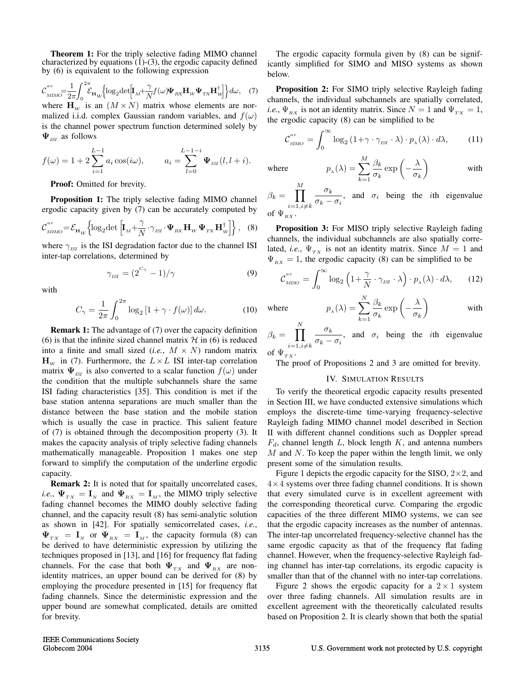**Theorem 1:** For the triply selective fading MIMO channel characterized by equations (1)-(3), the ergodic capacity defined by (6) is equivalent to the following expression

$$
\mathcal{C}_{\text{MIMO}}^{av} = \frac{1}{2\pi} \int_0^{2\pi} \mathcal{E}_{\mathbf{H}_W} \Big\{ \log_2 \det \Big[ \mathbf{I}_M + \frac{\gamma}{N} f(\omega) \mathbf{\Psi}_{\text{RX}} \mathbf{H}_W \mathbf{\Psi}_{\text{TX}} \mathbf{H}_W^{\dagger} \Big] \Big\} d\omega, \quad (7)
$$
\nwhere  $\mathbf{H}_W$  is an  $(M \times N)$  matrix whose elements are normalized i.i.d. complex Gaussian random variables, and  $f(\omega)$  is the channel power spectrum function determined solely by  $\mathbf{\Psi}_{\text{ISI}}$  as follows

$$
f(\omega) = 1 + 2 \sum_{i=1}^{L-1} a_i \cos(i\omega),
$$
  $a_i = \sum_{l=0}^{L-1-i} \Psi_{\text{ISI}}(l, l+i).$ 

**Proof:** Omitted for brevity.

**Proposition 1:** The triply selective fading MIMO channel ergodic capacity given by (7) can be accurately computed by

$$
\mathcal{C}_{\scriptscriptstyle MIMO}^{\scriptscriptstyle av} = \mathcal{E}_{\mathbf{H}_W} \left\{ \log_2 \det \left[ \mathbf{I}_M + \frac{\gamma}{N} \cdot \gamma_{\scriptscriptstyle ISI} \cdot \mathbf{\Psi}_{\scriptscriptstyle RX} \mathbf{H}_W \mathbf{\Psi}_{\scriptscriptstyle TX} \mathbf{H}_W^\dagger \right] \right\}, \quad (8)
$$

where  $\gamma_{1\text{S}I}$  is the ISI degradation factor due to the channel ISI inter-tap correlations, determined by

$$
\gamma_{\rm{ISI}} = (2^{C_{\gamma}} - 1)/\gamma \tag{9}
$$

with

$$
C_{\gamma} = \frac{1}{2\pi} \int_0^{2\pi} \log_2 \left[ 1 + \gamma \cdot f(\omega) \right] d\omega.
$$
 (10)

**Remark 1:** The advantage of (7) over the capacity definition (6) is that the infinite sized channel matrix  $H$  in (6) is reduced into a finite and small sized  $(i.e., M \times N)$  random matrix  $\mathbf{H}_{W}$  in (7). Furthermore, the  $L \times L$  ISI inter-tap correlation matrix  $\Psi_{ISI}$  is also converted to a scalar function  $f(\omega)$  under the condition that the multiple subchannels share the same ISI fading characteristics [35]. This condition is met if the base station antenna separations are much smaller than the distance between the base station and the mobile station which is usually the case in practice. This salient feature of (7) is obtained through the decomposition property (3). It makes the capacity analysis of triply selective fading channels mathematically manageable. Proposition 1 makes one step forward to simplify the computation of the underline ergodic capacity.

**Remark 2:** It is noted that for spaitally uncorrelated cases, *i.e.*,  $\Psi_{TX} = \mathbf{I}_N$  and  $\Psi_{RX} = \mathbf{I}_M$ , the MIMO triply selective fading channel becomes the MIMO doubly selective fading channel, and the capacity result (8) has semi-analytic solution as shown in [42]. For spatially semicorrelated cases, *i.e.*,  $\Psi_{TX} = I_N$  or  $\Psi_{RX} = I_M$ , the capacity formula (8) can be derived to have deterministic expression by utilizing the techniques proposed in [13], and [16] for frequency flat fading channels. For the case that both  $\Psi_{TX}$  and  $\Psi_{RX}$  are nonidentity matrices, an upper bound can be derived for (8) by employing the procedure presented in [15] for frequency flat fading channels. Since the deterministic expression and the upper bound are somewhat complicated, details are omitted for brevity.

The ergodic capacity formula given by (8) can be significantly simplified for SIMO and MISO systems as shown below.

**Proposition 2:** For SIMO triply selective Rayleigh fading channels, the individual subchannels are spatially correlated, *i.e.*,  $\Psi_{RX}$  is not an identity matrix. Since  $N = 1$  and  $\Psi_{TX} = 1$ , the ergodic capacity (8) can be simplified to be

$$
\mathcal{C}_{\scriptscriptstyle SIMO}^{\scriptscriptstyle av} = \int_0^\infty \log_2 \left( 1 + \gamma \cdot \gamma_{\scriptscriptstyle ISI} \cdot \lambda \right) \cdot p_\lambda(\lambda) \cdot d\lambda,\tag{11}
$$

 $\setminus$ 

with

where  $p_{\lambda}(\lambda) = \sum$  $\stackrel{M}{\longrightarrow} \beta_k$  $k=1$  $\frac{\beta_k}{\sigma_k} \exp \left(-\frac{\lambda}{\sigma_k}\right)$ 

 $\beta_k = \prod$ M  $i=1,i\neq k$  $\sigma_k$  $\frac{\sigma_k}{\sigma_k - \sigma_i}$ , and  $\sigma_i$  being the *i*th eigenvalue of  $\Psi_{RX}$ .

**Proposition 3:** For MISO triply selective Rayleigh fading channels, the individual subchannels are also spatially correlated, *i.e.*,  $\Psi_{TX}$  is not an identity matrix. Since  $M = 1$  and  $\Psi_{RX} = 1$ , the ergodic capacity (8) can be simplified to be

$$
\mathcal{C}_{\text{MISO}}^{av} = \int_0^\infty \log_2 \left( 1 + \frac{\gamma}{N} \cdot \gamma_{\text{ISI}} \cdot \lambda \right) \cdot p_\lambda(\lambda) \cdot d\lambda,\qquad(12)
$$

$$
p_{\lambda}(\lambda) = \sum_{k=1}^{N} \frac{\beta_k}{\sigma_k} \exp\left(-\frac{\lambda}{\sigma_k}\right) \quad \text{with}
$$

 $\beta_k = \prod$ N  $i=1,i\neq k$  $\sigma_k$  $\frac{\sigma_k}{\sigma_k - \sigma_i}$ , and  $\sigma_i$  being the *i*th eigenvalue of  $\Psi_{TX}$ .

The proof of Propositions 2 and 3 are omitted for brevity.

#### IV. SIMULATION RESULTS

To verify the theoretical ergodic capacity results presented in Section III, we have conducted extensive simulations which employs the discrete-time time-varying frequency-selective Rayleigh fading MIMO channel model described in Section II with different channel conditions such as Doppler spread  $F_d$ , channel length L, block length K, and antenna numbers  $M$  and  $N$ . To keep the paper within the length limit, we only present some of the simulation results.

Figure 1 depicts the ergodic capacity for the SISO,  $2 \times 2$ , and  $4 \times 4$  systems over three fading channel conditions. It is shown that every simulated curve is in excellent agreement with the corresponding theoretical curve. Comparing the ergodic capacities of the three different MIMO systems, we can see that the ergodic capacity increases as the number of antennas. The inter-tap uncorrelated frequency-selective channel has the same ergodic capacity as that of the frequency flat fading channel. However, when the frequency-selective Rayleigh fading channel has inter-tap correlations, its ergodic capacity is smaller than that of the channel with no inter-tap correlations.

Figure 2 shows the ergodic capacity for a  $2 \times 1$  system over three fading channels. All simulation results are in excellent agreement with the theoretically calculated results based on Proposition 2. It is clearly shown that both the spatial

where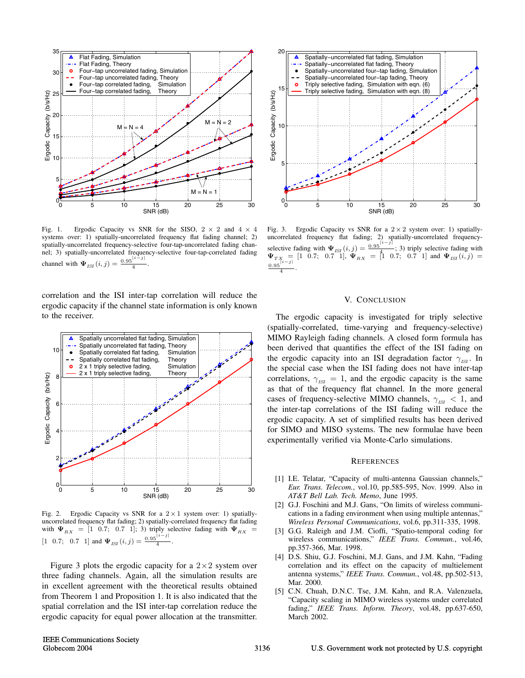

Fig. 1. Ergodic Capacity vs SNR for the SISO,  $2 \times 2$  and  $4 \times 4$ systems over: 1) spatially-uncorrelated frequency flat fading channel; 2) spatially-uncorrelated frequency-selective four-tap-uncorrelated fading channel; 3) spatially-uncorrelated frequency-selective four-tap-correlated fading channel with  $\Psi_{ISI}(i, j) = \frac{0.95^{|i-j|}}{4}$ .

correlation and the ISI inter-tap correlation will reduce the ergodic capacity if the channel state information is only known to the receiver.



Fig. 2. Ergodic Capacity vs SNR for a  $2 \times 1$  system over: 1) spatiallyuncorrelated frequency flat fading; 2) spatially-correlated frequency flat fading with  $\Psi_{RX} = [1 \ 0.7; \ 0.7 \ 1];$  3) triply selective fading with  $\Psi_{RX} =$  $[1 \ 0.7; \ 0.7 \ 1]$  and  $\Psi_{ISI}(i,j) = \frac{0.95|i-j|}{4}$ .

Figure 3 plots the ergodic capacity for a  $2\times 2$  system over three fading channels. Again, all the simulation results are in excellent agreement with the theoretical results obtained from Theorem 1 and Proposition 1. It is also indicated that the spatial correlation and the ISI inter-tap correlation reduce the ergodic capacity for equal power allocation at the transmitter.



Fig. 3. Ergodic Capacity vs SNR for a 2 *×* 2 system over: 1) spatiallyuncorrelated frequency flat fading; 2) spatially-uncorrelated frequencyselective fading with  $\Psi_{ISI}(i,j) = \frac{0.95}{4}$ ; 3) triply selective fading with  $\Psi_{TX} = [1 \ 0.7; \ 0.7 \ 1], \ \Psi_{RX} = [1 \ 0.7; \ 0.7 \ 1]$  and  $\Psi_{ISI}(i,j) =$  $\frac{0.95}{4}$ .

#### V. CONCLUSION

The ergodic capacity is investigated for triply selective (spatially-correlated, time-varying and frequency-selective) MIMO Rayleigh fading channels. A closed form formula has been derived that quantifies the effect of the ISI fading on the ergodic capacity into an ISI degradation factor  $\gamma_{\text{ref}}$ . In the special case when the ISI fading does not have inter-tap correlations,  $\gamma_{ISI} = 1$ , and the ergodic capacity is the same as that of the frequency flat channel. In the more general cases of frequency-selective MIMO channels,  $\gamma_{ISI}$  < 1, and the inter-tap correlations of the ISI fading will reduce the ergodic capacity. A set of simplified results has been derived for SIMO and MISO systems. The new formulae have been experimentally verified via Monte-Carlo simulations.

#### **REFERENCES**

- [1] I.E. Telatar, "Capacity of multi-antenna Gaussian channels," *Eur. Trans. Telecom.*, vol.10, pp.585-595, Nov. 1999. Also in *AT&T Bell Lab. Tech. Memo*, June 1995.
- [2] G.J. Foschini and M.J. Gans, "On limits of wireless communications in a fading environment when using multiple antennas," *Wireless Personal Communications*, vol.6, pp.311-335, 1998.
- [3] G.G. Raleigh and J.M. Cioffi, "Spatio-temporal coding for wireless communications," *IEEE Trans. Commun.*, vol.46, pp.357-366, Mar. 1998.
- [4] D.S. Shiu, G.J. Foschini, M.J. Gans, and J.M. Kahn, "Fading correlation and its effect on the capacity of multielement antenna systems," *IEEE Trans. Commun.*, vol.48, pp.502-513, Mar. 2000.
- [5] C.N. Chuah, D.N.C. Tse, J.M. Kahn, and R.A. Valenzuela, "Capacity scaling in MIMO wireless systems under correlated fading," *IEEE Trans. Inform. Theory*, vol.48, pp.637-650, March 2002.